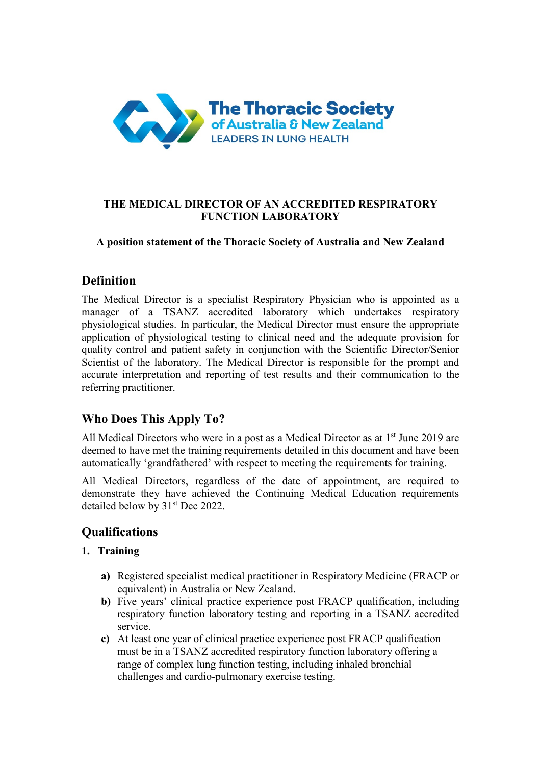

#### **THE MEDICAL DIRECTOR OF AN ACCREDITED RESPIRATORY FUNCTION LABORATORY**

#### **A position statement of the Thoracic Society of Australia and New Zealand**

## **Definition**

The Medical Director is a specialist Respiratory Physician who is appointed as a manager of a TSANZ accredited laboratory which undertakes respiratory physiological studies. In particular, the Medical Director must ensure the appropriate application of physiological testing to clinical need and the adequate provision for quality control and patient safety in conjunction with the Scientific Director/Senior Scientist of the laboratory. The Medical Director is responsible for the prompt and accurate interpretation and reporting of test results and their communication to the referring practitioner.

# **Who Does This Apply To?**

All Medical Directors who were in a post as a Medical Director as at 1<sup>st</sup> June 2019 are deemed to have met the training requirements detailed in this document and have been automatically 'grandfathered' with respect to meeting the requirements for training.

All Medical Directors, regardless of the date of appointment, are required to demonstrate they have achieved the Continuing Medical Education requirements detailed below by 31<sup>st</sup> Dec 2022.

# **Qualifications**

#### **1. Training**

- **a)** Registered specialist medical practitioner in Respiratory Medicine (FRACP or equivalent) in Australia or New Zealand.
- **b)** Five years' clinical practice experience post FRACP qualification, including respiratory function laboratory testing and reporting in a TSANZ accredited service.
- **c)** At least one year of clinical practice experience post FRACP qualification must be in a TSANZ accredited respiratory function laboratory offering a range of complex lung function testing, including inhaled bronchial challenges and cardio-pulmonary exercise testing.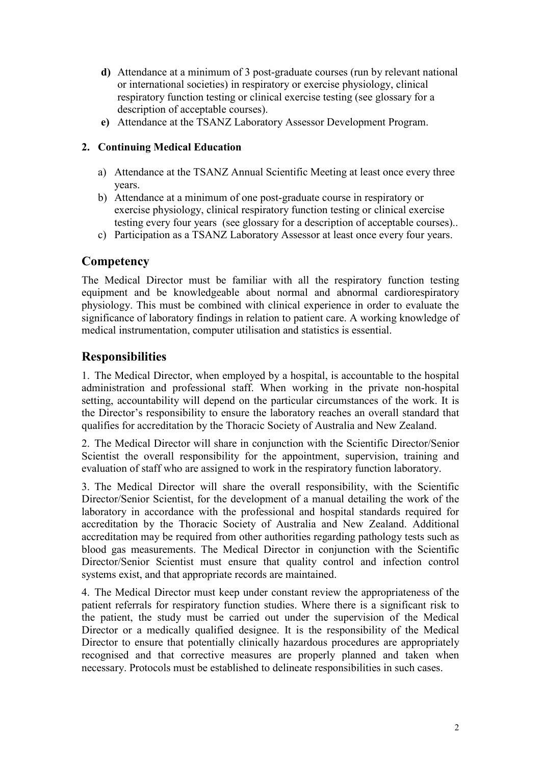- **d)** Attendance at a minimum of 3 post-graduate courses (run by relevant national or international societies) in respiratory or exercise physiology, clinical respiratory function testing or clinical exercise testing (see glossary for a description of acceptable courses).
- **e)** Attendance at the TSANZ Laboratory Assessor Development Program.

#### **2. Continuing Medical Education**

- a) Attendance at the TSANZ Annual Scientific Meeting at least once every three years.
- b) Attendance at a minimum of one post-graduate course in respiratory or exercise physiology, clinical respiratory function testing or clinical exercise testing every four years (see glossary for a description of acceptable courses)..
- c) Participation as a TSANZ Laboratory Assessor at least once every four years.

### **Competency**

The Medical Director must be familiar with all the respiratory function testing equipment and be knowledgeable about normal and abnormal cardiorespiratory physiology. This must be combined with clinical experience in order to evaluate the significance of laboratory findings in relation to patient care. A working knowledge of medical instrumentation, computer utilisation and statistics is essential.

### **Responsibilities**

1. The Medical Director, when employed by a hospital, is accountable to the hospital administration and professional staff. When working in the private non-hospital setting, accountability will depend on the particular circumstances of the work. It is the Director's responsibility to ensure the laboratory reaches an overall standard that qualifies for accreditation by the Thoracic Society of Australia and New Zealand.

2. The Medical Director will share in conjunction with the Scientific Director/Senior Scientist the overall responsibility for the appointment, supervision, training and evaluation of staff who are assigned to work in the respiratory function laboratory.

3. The Medical Director will share the overall responsibility, with the Scientific Director/Senior Scientist, for the development of a manual detailing the work of the laboratory in accordance with the professional and hospital standards required for accreditation by the Thoracic Society of Australia and New Zealand. Additional accreditation may be required from other authorities regarding pathology tests such as blood gas measurements. The Medical Director in conjunction with the Scientific Director/Senior Scientist must ensure that quality control and infection control systems exist, and that appropriate records are maintained.

4. The Medical Director must keep under constant review the appropriateness of the patient referrals for respiratory function studies. Where there is a significant risk to the patient, the study must be carried out under the supervision of the Medical Director or a medically qualified designee. It is the responsibility of the Medical Director to ensure that potentially clinically hazardous procedures are appropriately recognised and that corrective measures are properly planned and taken when necessary. Protocols must be established to delineate responsibilities in such cases.